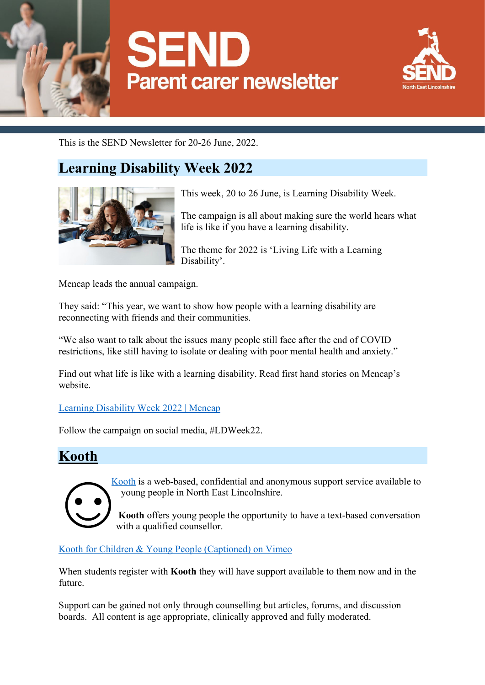



This is the SEND Newsletter for 20-26 June, 2022.

## **Learning Disability Week 2022**



This week, 20 to 26 June, is Learning Disability Week.

The campaign is all about making sure the world hears what life is like if you have a learning disability.

The theme for 2022 is 'Living Life with a Learning Disability'.

Mencap leads the annual campaign.

They said: "This year, we want to show how people with a learning disability are reconnecting with friends and their communities.

"We also want to talk about the issues many people still face after the end of COVID restrictions, like still having to isolate or dealing with poor mental health and anxiety."

Find out what life is like with a learning disability. Read first hand stories on Mencap's website.

[Learning Disability Week 2022 | Mencap](https://www.mencap.org.uk/LDWeek?gclid=Cj0KCQjwntCVBhDdARIsAMEwAClTkoIMJurKTa0Ls25qzhu_AGBMvhfBvHYgZKvDUiuIeYsrT9JRvigaAm-WEALw_wcB)

Follow the campaign on social media, #LDWeek22.

#### **Kooth**



[Kooth](http://www.kooth.com/) is a web-based, confidential and anonymous support service available to young people in North East Lincolnshire.

**Kooth** offers young people the opportunity to have a text-based conversation with a qualified counsellor.

[Kooth for Children & Young People \(Captioned\) on Vimeo](https://vimeo.com/452161021?embedded=true&source=vimeo_logo&owner=10241095)

When students register with **Kooth** they will have support available to them now and in the future.

Support can be gained not only through counselling but articles, forums, and discussion boards. All content is age appropriate, clinically approved and fully moderated.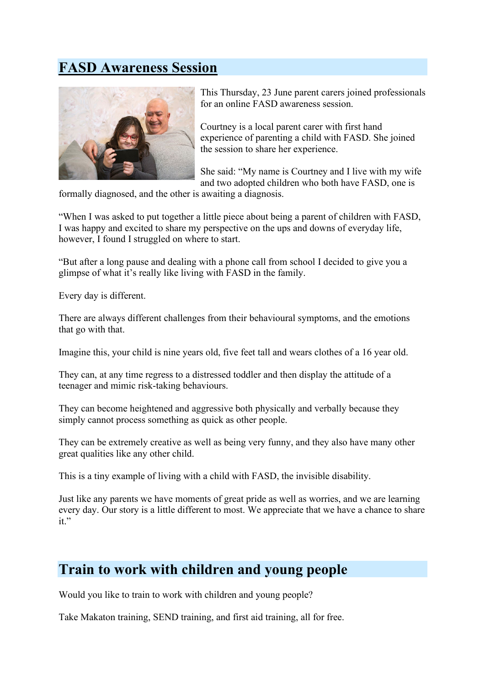## **FASD Awareness Session**



This Thursday, 23 June parent carers joined professionals for an online FASD awareness session.

Courtney is a local parent carer with first hand experience of parenting a child with FASD. She joined the session to share her experience.

She said: "My name is Courtney and I live with my wife and two adopted children who both have FASD, one is

formally diagnosed, and the other is awaiting a diagnosis.

"When I was asked to put together a little piece about being a parent of children with FASD, I was happy and excited to share my perspective on the ups and downs of everyday life, however, I found I struggled on where to start.

"But after a long pause and dealing with a phone call from school I decided to give you a glimpse of what it's really like living with FASD in the family.

Every day is different.

There are always different challenges from their behavioural symptoms, and the emotions that go with that.

Imagine this, your child is nine years old, five feet tall and wears clothes of a 16 year old.

They can, at any time regress to a distressed toddler and then display the attitude of a teenager and mimic risk-taking behaviours.

They can become heightened and aggressive both physically and verbally because they simply cannot process something as quick as other people.

They can be extremely creative as well as being very funny, and they also have many other great qualities like any other child.

This is a tiny example of living with a child with FASD, the invisible disability.

Just like any parents we have moments of great pride as well as worries, and we are learning every day. Our story is a little different to most. We appreciate that we have a chance to share it."

#### **Train to work with children and young people**

Would you like to train to work with children and young people?

Take Makaton training, SEND training, and first aid training, all for free.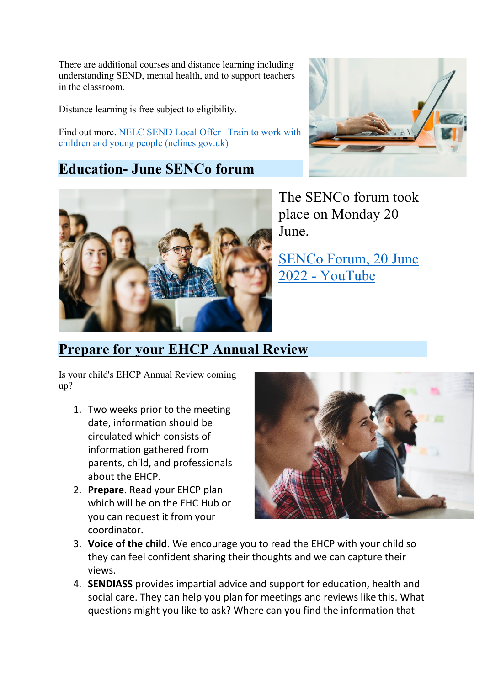There are additional courses and distance learning including understanding SEND, mental health, and to support teachers in the classroom.

Distance learning is free subject to eligibility.

Find out more. NELC SEND Local Offer | Train to work with [children and young people \(nelincs.gov.uk\)](https://sendlocaloffer.nelincs.gov.uk/train-to-work-with-children-and-young-people/)

#### **Education- June SENCo forum**





The SENCo forum took place on Monday 20 June.

[SENCo Forum, 20 June](https://www.youtube.com/watch?v=fUhGQXc8fdE)  2022 - [YouTube](https://www.youtube.com/watch?v=fUhGQXc8fdE)

### **Prepare for your EHCP Annual Review**

Is your child's EHCP Annual Review coming up?

- 1. Two weeks prior to the meeting date, information should be circulated which consists of information gathered from parents, child, and professionals about the EHCP.
- 2. **Prepare**. Read your EHCP plan which will be on the EHC Hub or you can request it from your coordinator.



- 3. **Voice of the child**. We encourage you to read the EHCP with your child so they can feel confident sharing their thoughts and we can capture their views.
- 4. **SENDIASS** provides impartial advice and support for education, health and social care. They can help you plan for meetings and reviews like this. What questions might you like to ask? Where can you find the information that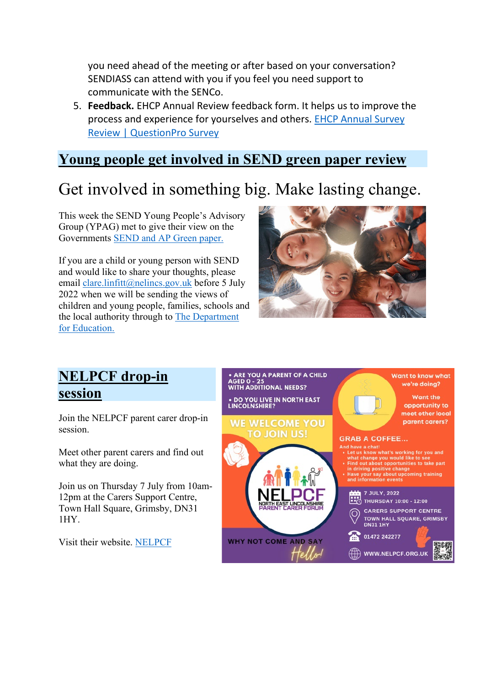you need ahead of the meeting or after based on your conversation? SENDIASS can attend with you if you feel you need support to communicate with the SENCo.

5. **Feedback.** EHCP Annual Review feedback form. It helps us to improve the process and experience for yourselves and others. [EHCP Annual Survey](https://annualreviewfeedback.questionpro.eu/)  [Review | QuestionPro Survey](https://annualreviewfeedback.questionpro.eu/)

## **Young people get involved in SEND green paper review**

# Get involved in something big. Make lasting change.

This week the SEND Young People's Advisory Group (YPAG) met to give their view on the Governments [SEND and AP Green paper.](https://assets.publishing.service.gov.uk/government/uploads/system/uploads/attachment_data/file/1073486/SEND_green_paper_-_guide_for_children_and_young_people.pdf)

If you are a child or young person with SEND and would like to share your thoughts, please email [clare.linfitt@nelincs.gov.uk](mailto:clare.linfitt@nelincs.gov.uk) before 5 July 2022 when we will be sending the views of children and young people, families, schools and the local authority through to [The Department](https://www.gov.uk/government/organisations/department-for-education)  [for Education.](https://www.gov.uk/government/organisations/department-for-education)



## **NELPCF drop-in session**

Join the NELPCF parent carer drop-in session.

Meet other parent carers and find out what they are doing.

Join us on Thursday 7 July from 10am-12pm at the Carers Support Centre, Town Hall Square, Grimsby, DN31 1HY.

Visit their website. [NELPCF](https://nelpcf.org.uk/)